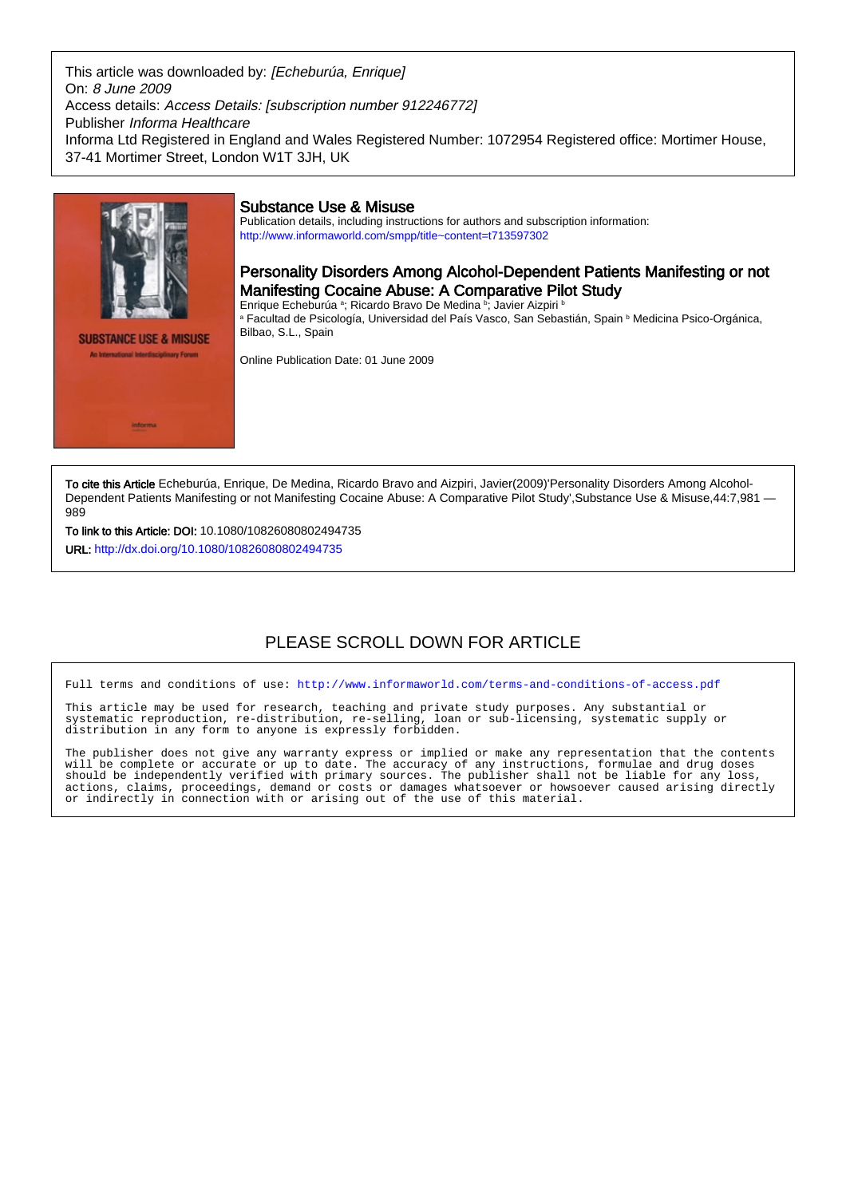This article was downloaded by: [Echeburúa, Enrique] On: 8 June 2009 Access details: Access Details: [subscription number 912246772] Publisher Informa Healthcare Informa Ltd Registered in England and Wales Registered Number: 1072954 Registered office: Mortimer House, 37-41 Mortimer Street, London W1T 3JH, UK



**Informa** 

inary Forum

## Substance Use & Misuse

Publication details, including instructions for authors and subscription information: <http://www.informaworld.com/smpp/title~content=t713597302>

# Personality Disorders Among Alcohol-Dependent Patients Manifesting or not Manifesting Cocaine Abuse: A Comparative Pilot Study

Enrique Echeburúa <sup>a</sup>; Ricardo Bravo De Medina <sup>b</sup>; Javier Aizpiri <sup>b</sup> a Facultad de Psicología, Universidad del País Vasco, San Sebastián, Spain <sup>b</sup> Medicina Psico-Orgánica, Bilbao, S.L., Spain

Online Publication Date: 01 June 2009

To cite this Article Echeburúa, Enrique, De Medina, Ricardo Bravo and Aizpiri, Javier(2009)'Personality Disorders Among Alcohol-Dependent Patients Manifesting or not Manifesting Cocaine Abuse: A Comparative Pilot Study',Substance Use & Misuse,44:7,981 — 989

To link to this Article: DOI: 10.1080/10826080802494735

URL: <http://dx.doi.org/10.1080/10826080802494735>

# PLEASE SCROLL DOWN FOR ARTICLE

Full terms and conditions of use:<http://www.informaworld.com/terms-and-conditions-of-access.pdf>

This article may be used for research, teaching and private study purposes. Any substantial or systematic reproduction, re-distribution, re-selling, loan or sub-licensing, systematic supply or distribution in any form to anyone is expressly forbidden.

The publisher does not give any warranty express or implied or make any representation that the contents will be complete or accurate or up to date. The accuracy of any instructions, formulae and drug doses should be independently verified with primary sources. The publisher shall not be liable for any loss, actions, claims, proceedings, demand or costs or damages whatsoever or howsoever caused arising directly or indirectly in connection with or arising out of the use of this material.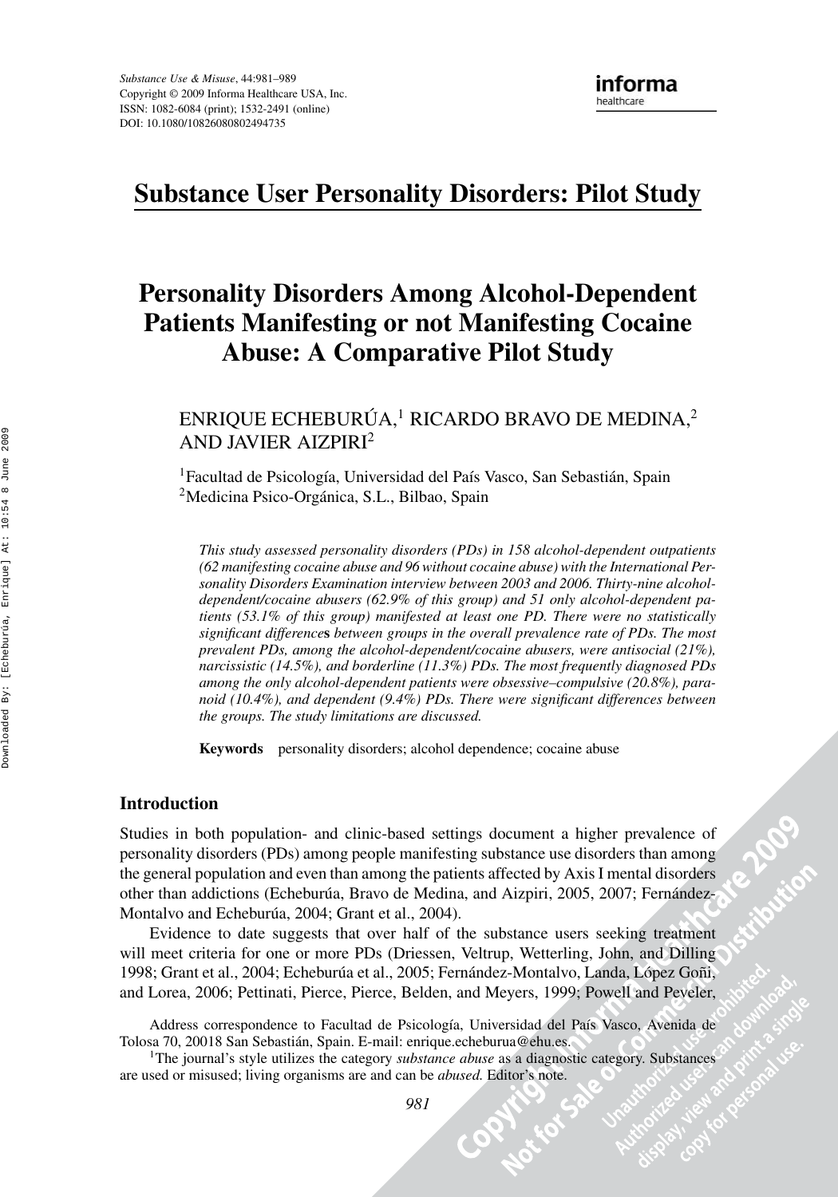# **Substance User Personality Disorders: Pilot Study**

# **Personality Disorders Among Alcohol-Dependent Patients Manifesting or not Manifesting Cocaine Abuse: A Comparative Pilot Study**

ENRIQUE ECHEBURÚA,<sup>1</sup> RICARDO BRAVO DE MEDINA,<sup>2</sup> AND JAVIER AIZPIRI2

<sup>1</sup>Facultad de Psicología, Universidad del País Vasco, San Sebastián, Spain <sup>2</sup>Medicina Psico-Orgánica, S.L., Bilbao, Spain

*This study assessed personality disorders (PDs) in 158 alcohol-dependent outpatients (62 manifesting cocaine abuse and 96 without cocaine abuse) with the International Personality Disorders Examination interview between 2003 and 2006. Thirty-nine alcoholdependent/cocaine abusers (62.9% of this group) and 51 only alcohol-dependent patients (53.1% of this group) manifested at least one PD. There were no statistically significant difference***s** *between groups in the overall prevalence rate of PDs. The most prevalent PDs, among the alcohol-dependent/cocaine abusers, were antisocial (21%), narcissistic (14.5%), and borderline (11.3%) PDs. The most frequently diagnosed PDs among the only alcohol-dependent patients were obsessive–compulsive (20.8%), paranoid (10.4%), and dependent (9.4%) PDs. There were significant differences between the groups. The study limitations are discussed.*

**Keywords** personality disorders; alcohol dependence; cocaine abuse

### **Introduction**

Studies in both population- and clinic-based settings document a higher prevalence of personality disorders (PDs) among people manifesting substance use disorders than among the general population and even than among the patients affected by Axis I mental disorders other than addictions (Echeburúa, Bravo de Medina, and Aizpiri, 2005, 2007; Fernández-Montalvo and Echeburúa, 2004; Grant et al., 2004).

Evidence to date suggests that over half of the substance users seeking treatment will meet criteria for one or more PDs (Driessen, Veltrup, Wetterling, John, and Dilling 1998; Grant et al., 2004; Echeburúa et al., 2005; Fernández-Montalvo, Landa, López Goñi, and Lorea, 2006; Pettinati, Pierce, Pierce, Belden, and Meyers, 1999; Powell and Peveler,

Address correspondence to Facultad de Psicología, Universidad del País Vasco, Avenida de Tolosa 70, 20018 San Sebastian, Spain. E-mail: enrique.echeburua@ehu.es. ´

1The journal's style utilizes the category *substance abuse* as a diagnostic category. Substances are used or misused; living organisms are and can be *abused.* Editor's note.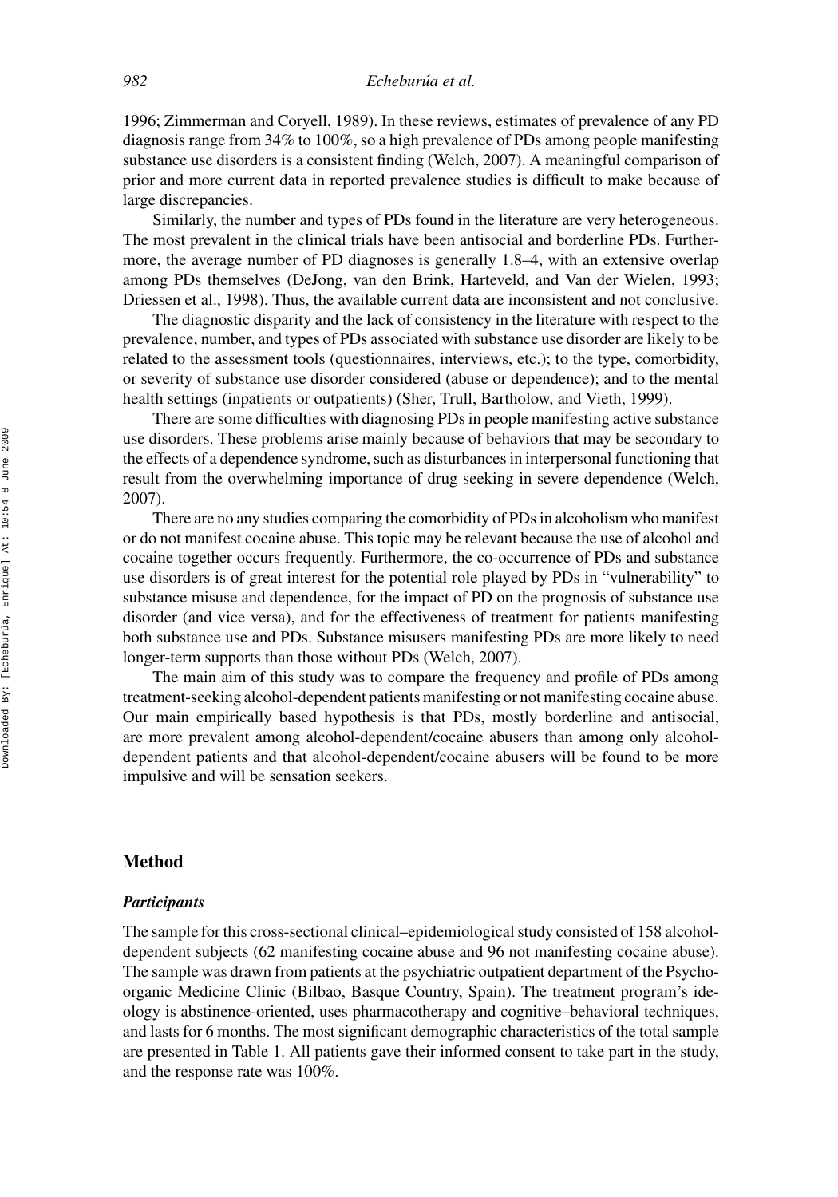1996; Zimmerman and Coryell, 1989). In these reviews, estimates of prevalence of any PD diagnosis range from 34% to 100%, so a high prevalence of PDs among people manifesting substance use disorders is a consistent finding (Welch, 2007). A meaningful comparison of prior and more current data in reported prevalence studies is difficult to make because of large discrepancies.

Similarly, the number and types of PDs found in the literature are very heterogeneous. The most prevalent in the clinical trials have been antisocial and borderline PDs. Furthermore, the average number of PD diagnoses is generally 1.8–4, with an extensive overlap among PDs themselves (DeJong, van den Brink, Harteveld, and Van der Wielen, 1993; Driessen et al., 1998). Thus, the available current data are inconsistent and not conclusive.

The diagnostic disparity and the lack of consistency in the literature with respect to the prevalence, number, and types of PDs associated with substance use disorder are likely to be related to the assessment tools (questionnaires, interviews, etc.); to the type, comorbidity, or severity of substance use disorder considered (abuse or dependence); and to the mental health settings (inpatients or outpatients) (Sher, Trull, Bartholow, and Vieth, 1999).

There are some difficulties with diagnosing PDs in people manifesting active substance use disorders. These problems arise mainly because of behaviors that may be secondary to the effects of a dependence syndrome, such as disturbances in interpersonal functioning that result from the overwhelming importance of drug seeking in severe dependence (Welch, 2007).

There are no any studies comparing the comorbidity of PDs in alcoholism who manifest or do not manifest cocaine abuse. This topic may be relevant because the use of alcohol and cocaine together occurs frequently. Furthermore, the co-occurrence of PDs and substance use disorders is of great interest for the potential role played by PDs in "vulnerability" to substance misuse and dependence, for the impact of PD on the prognosis of substance use disorder (and vice versa), and for the effectiveness of treatment for patients manifesting both substance use and PDs. Substance misusers manifesting PDs are more likely to need longer-term supports than those without PDs (Welch, 2007).

The main aim of this study was to compare the frequency and profile of PDs among treatment-seeking alcohol-dependent patients manifesting or not manifesting cocaine abuse. Our main empirically based hypothesis is that PDs, mostly borderline and antisocial, are more prevalent among alcohol-dependent/cocaine abusers than among only alcoholdependent patients and that alcohol-dependent/cocaine abusers will be found to be more impulsive and will be sensation seekers.

#### **Method**

#### *Participants*

The sample for this cross-sectional clinical–epidemiological study consisted of 158 alcoholdependent subjects (62 manifesting cocaine abuse and 96 not manifesting cocaine abuse). The sample was drawn from patients at the psychiatric outpatient department of the Psychoorganic Medicine Clinic (Bilbao, Basque Country, Spain). The treatment program's ideology is abstinence-oriented, uses pharmacotherapy and cognitive–behavioral techniques, and lasts for 6 months. The most significant demographic characteristics of the total sample are presented in Table 1. All patients gave their informed consent to take part in the study, and the response rate was 100%.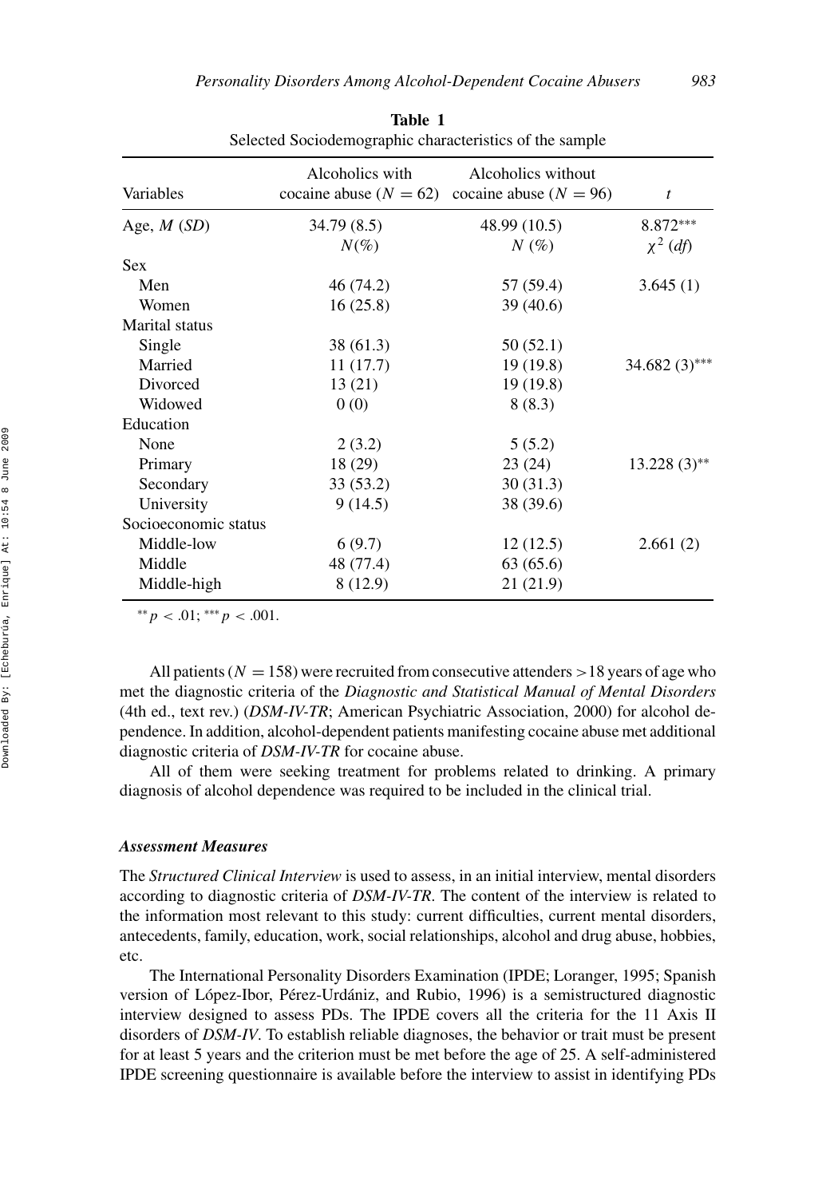| enceled bochoderinographic enaracteristics of the sample |                                             |                                                  |                  |  |  |
|----------------------------------------------------------|---------------------------------------------|--------------------------------------------------|------------------|--|--|
| Variables                                                | Alcoholics with<br>cocaine abuse $(N = 62)$ | Alcoholics without<br>cocaine abuse ( $N = 96$ ) | $\boldsymbol{t}$ |  |  |
| Age, $M(SD)$                                             | 34.79 (8.5)                                 | 48.99 (10.5)                                     | $8.872***$       |  |  |
|                                                          | $N(\%)$                                     | $N(\%)$                                          | $\chi^2$ (df)    |  |  |
| <b>Sex</b>                                               |                                             |                                                  |                  |  |  |
| Men                                                      | 46 (74.2)                                   | 57 (59.4)                                        | 3.645(1)         |  |  |
| Women                                                    | 16(25.8)                                    | 39 (40.6)                                        |                  |  |  |
| Marital status                                           |                                             |                                                  |                  |  |  |
| Single                                                   | 38 (61.3)                                   | 50(52.1)                                         |                  |  |  |
| Married                                                  | 11(17.7)                                    | 19(19.8)                                         | 34.682 $(3)$ *** |  |  |
| Divorced                                                 | 13(21)                                      | 19 (19.8)                                        |                  |  |  |
| Widowed                                                  | 0(0)                                        | 8(8.3)                                           |                  |  |  |
| Education                                                |                                             |                                                  |                  |  |  |
| None                                                     | 2(3.2)                                      | 5(5.2)                                           |                  |  |  |
| Primary                                                  | 18 (29)                                     | 23(24)                                           | $13.228(3)$ **   |  |  |
| Secondary                                                | 33 (53.2)                                   | 30(31.3)                                         |                  |  |  |
| University                                               | 9(14.5)                                     | 38 (39.6)                                        |                  |  |  |
| Socioeconomic status                                     |                                             |                                                  |                  |  |  |
| Middle-low                                               | 6(9.7)                                      | 12(12.5)                                         | 2.661(2)         |  |  |
| Middle                                                   | 48 (77.4)                                   | 63(65.6)                                         |                  |  |  |
| Middle-high                                              | 8 (12.9)                                    | 21(21.9)                                         |                  |  |  |

**Table 1** Selected Sociodemographic characteristics of the sample

∗∗*p <* .01; ∗∗∗*p <* .001.

All patients ( $N = 158$ ) were recruited from consecutive attenders  $> 18$  years of age who met the diagnostic criteria of the *Diagnostic and Statistical Manual of Mental Disorders* (4th ed., text rev.) (*DSM-IV-TR*; American Psychiatric Association, 2000) for alcohol dependence. In addition, alcohol-dependent patients manifesting cocaine abuse met additional diagnostic criteria of *DSM-IV-TR* for cocaine abuse.

All of them were seeking treatment for problems related to drinking. A primary diagnosis of alcohol dependence was required to be included in the clinical trial.

#### *Assessment Measures*

The *Structured Clinical Interview* is used to assess, in an initial interview, mental disorders according to diagnostic criteria of *DSM-IV-TR*. The content of the interview is related to the information most relevant to this study: current difficulties, current mental disorders, antecedents, family, education, work, social relationships, alcohol and drug abuse, hobbies, etc.

The International Personality Disorders Examination (IPDE; Loranger, 1995; Spanish version of López-Ibor, Pérez-Urdániz, and Rubio, 1996) is a semistructured diagnostic interview designed to assess PDs. The IPDE covers all the criteria for the 11 Axis II disorders of *DSM-IV*. To establish reliable diagnoses, the behavior or trait must be present for at least 5 years and the criterion must be met before the age of 25. A self-administered IPDE screening questionnaire is available before the interview to assist in identifying PDs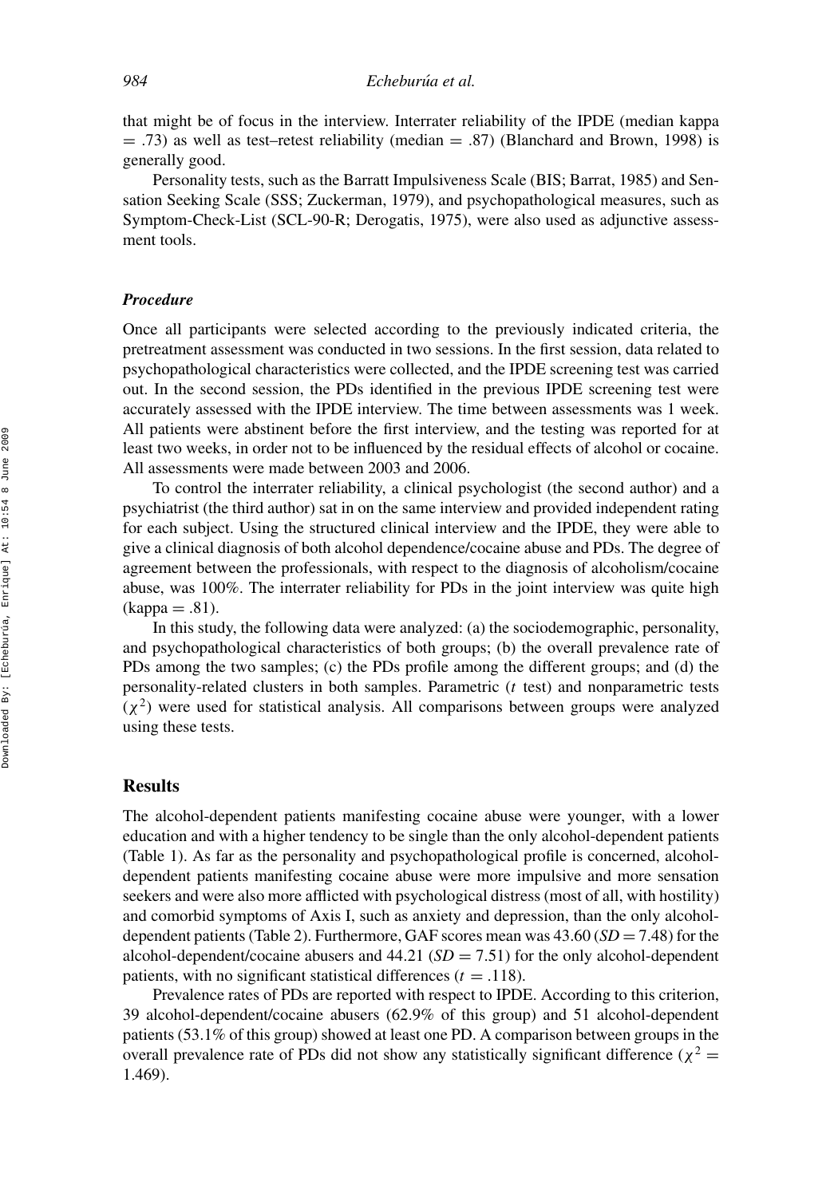that might be of focus in the interview. Interrater reliability of the IPDE (median kappa  $=$  .73) as well as test–retest reliability (median  $=$  .87) (Blanchard and Brown, 1998) is generally good.

Personality tests, such as the Barratt Impulsiveness Scale (BIS; Barrat, 1985) and Sensation Seeking Scale (SSS; Zuckerman, 1979), and psychopathological measures, such as Symptom-Check-List (SCL-90-R; Derogatis, 1975), were also used as adjunctive assessment tools.

#### *Procedure*

Once all participants were selected according to the previously indicated criteria, the pretreatment assessment was conducted in two sessions. In the first session, data related to psychopathological characteristics were collected, and the IPDE screening test was carried out. In the second session, the PDs identified in the previous IPDE screening test were accurately assessed with the IPDE interview. The time between assessments was 1 week. All patients were abstinent before the first interview, and the testing was reported for at least two weeks, in order not to be influenced by the residual effects of alcohol or cocaine. All assessments were made between 2003 and 2006.

To control the interrater reliability, a clinical psychologist (the second author) and a psychiatrist (the third author) sat in on the same interview and provided independent rating for each subject. Using the structured clinical interview and the IPDE, they were able to give a clinical diagnosis of both alcohol dependence/cocaine abuse and PDs. The degree of agreement between the professionals, with respect to the diagnosis of alcoholism/cocaine abuse, was 100%. The interrater reliability for PDs in the joint interview was quite high  $(kappa = .81)$ .

In this study, the following data were analyzed: (a) the sociodemographic, personality, and psychopathological characteristics of both groups; (b) the overall prevalence rate of PDs among the two samples; (c) the PDs profile among the different groups; and (d) the personality-related clusters in both samples. Parametric (*t* test) and nonparametric tests  $(\chi^2)$  were used for statistical analysis. All comparisons between groups were analyzed using these tests.

#### **Results**

The alcohol-dependent patients manifesting cocaine abuse were younger, with a lower education and with a higher tendency to be single than the only alcohol-dependent patients (Table 1). As far as the personality and psychopathological profile is concerned, alcoholdependent patients manifesting cocaine abuse were more impulsive and more sensation seekers and were also more afflicted with psychological distress (most of all, with hostility) and comorbid symptoms of Axis I, such as anxiety and depression, than the only alcoholdependent patients (Table 2). Furthermore, GAF scores mean was  $43.60$  ( $SD = 7.48$ ) for the alcohol-dependent/cocaine abusers and  $44.21$  ( $SD = 7.51$ ) for the only alcohol-dependent patients, with no significant statistical differences  $(t = .118)$ .

Prevalence rates of PDs are reported with respect to IPDE. According to this criterion, 39 alcohol-dependent/cocaine abusers (62.9% of this group) and 51 alcohol-dependent patients (53.1% of this group) showed at least one PD. A comparison between groups in the overall prevalence rate of PDs did not show any statistically significant difference ( $\chi^2$  = 1.469).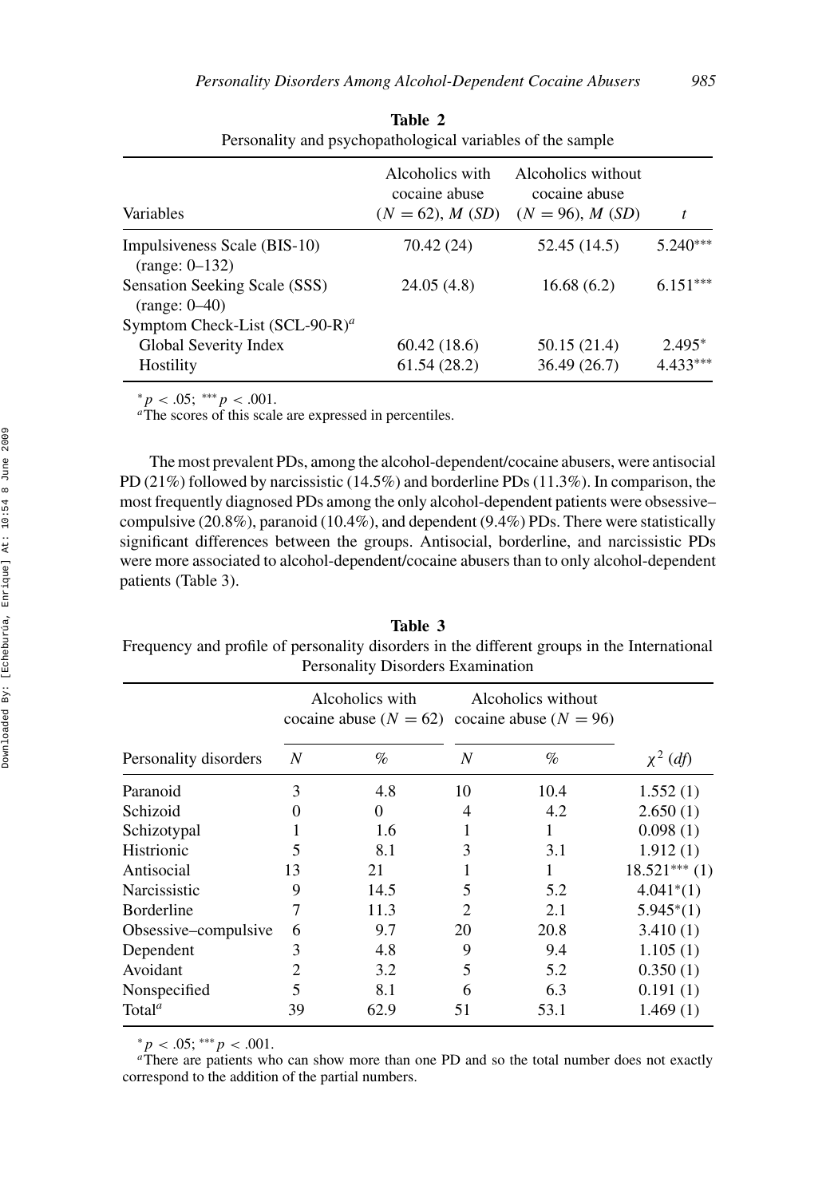| Variables                                        | Alcoholics with<br>cocaine abuse<br>$(N = 62)$ , M $(SD)$ | Alcoholics without<br>cocaine abuse<br>$(N = 96), M(SD)$ |            |  |
|--------------------------------------------------|-----------------------------------------------------------|----------------------------------------------------------|------------|--|
| Impulsiveness Scale (BIS-10)<br>$(range: 0-132)$ | 70.42 (24)                                                | 52.45 (14.5)                                             | 5.240***   |  |
| Sensation Seeking Scale (SSS)<br>$(range: 0-40)$ | 24.05(4.8)                                                | 16.68(6.2)                                               | $6.151***$ |  |
| Symptom Check-List (SCL-90-R) <sup>a</sup>       |                                                           |                                                          |            |  |
| Global Severity Index                            | 60.42(18.6)                                               | 50.15 (21.4)                                             | $2.495*$   |  |
| Hostility                                        | 61.54(28.2)                                               | 36.49(26.7)                                              | 4.433***   |  |

**Table 2** Personality and psychopathological variables of the sample

 $* p < .05; **p < .001.$ <br><sup>*a*</sup>The scores of this scale are expressed in percentiles.

The most prevalent PDs, among the alcohol-dependent/cocaine abusers, were antisocial PD (21%) followed by narcissistic (14.5%) and borderline PDs (11.3%). In comparison, the most frequently diagnosed PDs among the only alcohol-dependent patients were obsessive– compulsive (20.8%), paranoid (10.4%), and dependent (9.4%) PDs. There were statistically significant differences between the groups. Antisocial, borderline, and narcissistic PDs were more associated to alcohol-dependent/cocaine abusers than to only alcohol-dependent patients (Table 3).

**Table 3** Frequency and profile of personality disorders in the different groups in the International Personality Disorders Examination

|                       | Alcoholics with<br>cocaine abuse ( $N = 62$ ) cocaine abuse ( $N = 96$ ) |          | Alcoholics without          |      |                |  |
|-----------------------|--------------------------------------------------------------------------|----------|-----------------------------|------|----------------|--|
| Personality disorders | N                                                                        | $\%$     | N                           | $\%$ | $\chi^2$ (df)  |  |
| Paranoid              | 3                                                                        | 4.8      | 10                          | 10.4 | 1.552(1)       |  |
| Schizoid              |                                                                          | $\Omega$ | 4                           | 4.2  | 2.650(1)       |  |
| Schizotypal           |                                                                          | 1.6      |                             |      | 0.098(1)       |  |
| Histrionic            | 5                                                                        | 8.1      | 3                           | 3.1  | 1.912(1)       |  |
| Antisocial            | 13                                                                       | 21       |                             | 1    | $18.521***(1)$ |  |
| Narcissistic          | 9                                                                        | 14.5     | 5                           | 5.2  | $4.041^{*}(1)$ |  |
| Borderline            | 7                                                                        | 11.3     | $\mathcal{D}_{\mathcal{L}}$ | 2.1  | $5.945^{*}(1)$ |  |
| Obsessive–compulsive  | 6                                                                        | 9.7      | 20                          | 20.8 | 3.410(1)       |  |
| Dependent             | 3                                                                        | 4.8      | 9                           | 9.4  | 1.105(1)       |  |
| Avoidant              | 2                                                                        | 3.2      | 5                           | 5.2  | 0.350(1)       |  |
| Nonspecified          | 5                                                                        | 8.1      | 6                           | 6.3  | 0.191(1)       |  |
| Total <sup>a</sup>    | 39                                                                       | 62.9     | 51                          | 53.1 | 1.469(1)       |  |
|                       |                                                                          |          |                             |      |                |  |

 $*p < .05; **p < .001$ .<br><sup>*a*There are patients who can show more than one PD and so the total number does not exactly</sup> correspond to the addition of the partial numbers.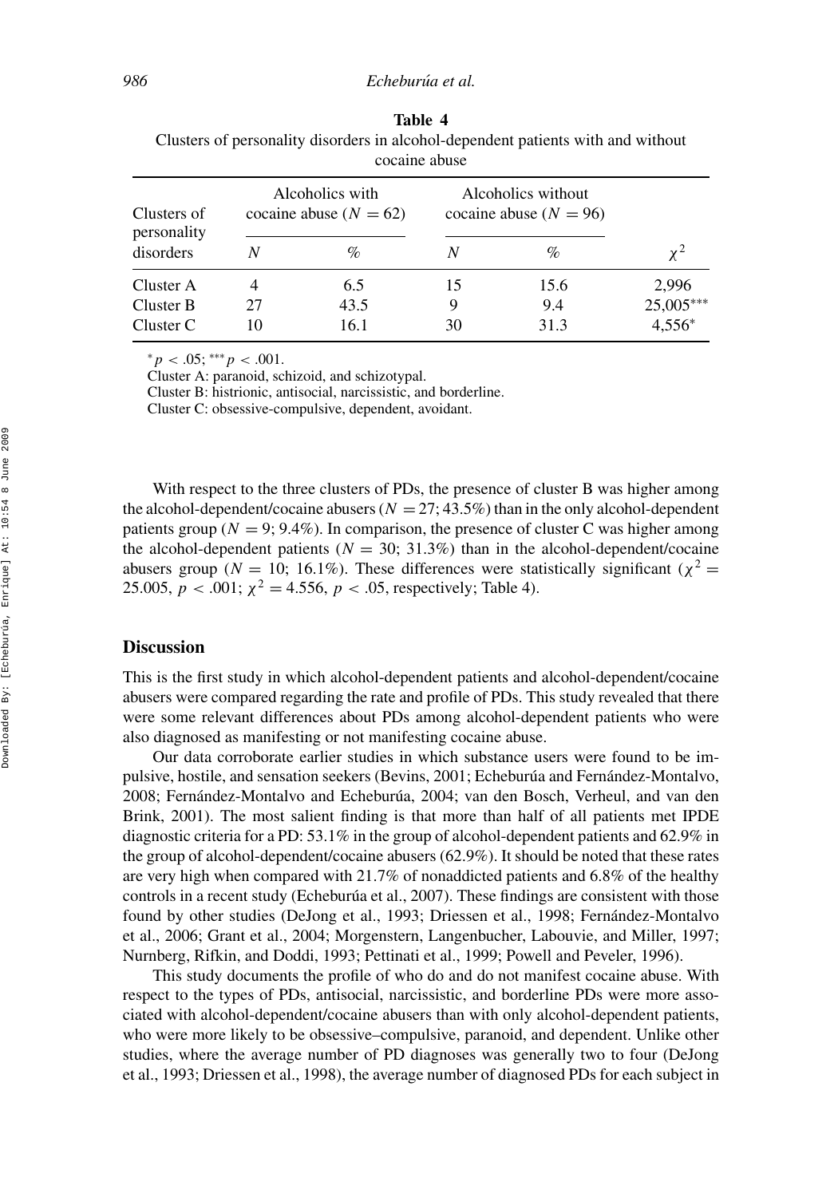|                                         |                                               | cocame ababe |                                                  |      |           |
|-----------------------------------------|-----------------------------------------------|--------------|--------------------------------------------------|------|-----------|
| Clusters of<br>personality<br>disorders | Alcoholics with<br>cocaine abuse ( $N = 62$ ) |              | Alcoholics without<br>cocaine abuse ( $N = 96$ ) |      |           |
|                                         | Ν                                             | $\%$         |                                                  | $\%$ | $\chi^2$  |
| Cluster A                               |                                               | 6.5          | 15                                               | 15.6 | 2,996     |
| Cluster B                               | 27                                            | 43.5         | 9                                                | 9.4  | 25,005*** |
| Cluster C                               | 10                                            | 16.1         | 30                                               | 31.3 | $4,556*$  |

**Table 4** Clusters of personality disorders in alcohol-dependent patients with and without cocaine abuse

<sup>∗</sup>*p <* .05; ∗∗∗*p <* .001.

Cluster A: paranoid, schizoid, and schizotypal.

Cluster B: histrionic, antisocial, narcissistic, and borderline.

Cluster C: obsessive-compulsive, dependent, avoidant.

With respect to the three clusters of PDs, the presence of cluster B was higher among the alcohol-dependent/cocaine abusers  $(N = 27, 43.5\%)$  than in the only alcohol-dependent patients group ( $N = 9$ ; 9.4%). In comparison, the presence of cluster C was higher among the alcohol-dependent patients ( $N = 30$ ; 31.3%) than in the alcohol-dependent/cocaine abusers group ( $N = 10$ ; 16.1%). These differences were statistically significant ( $\chi^2 =$ 25.005,  $p < .001$ ;  $\chi^2 = 4.556$ ,  $p < .05$ , respectively; Table 4).

#### **Discussion**

This is the first study in which alcohol-dependent patients and alcohol-dependent/cocaine abusers were compared regarding the rate and profile of PDs. This study revealed that there were some relevant differences about PDs among alcohol-dependent patients who were also diagnosed as manifesting or not manifesting cocaine abuse.

Our data corroborate earlier studies in which substance users were found to be impulsive, hostile, and sensation seekers (Bevins, 2001; Echeburúa and Fernández-Montalvo, 2008; Fernández-Montalvo and Echeburúa, 2004; van den Bosch, Verheul, and van den Brink, 2001). The most salient finding is that more than half of all patients met IPDE diagnostic criteria for a PD: 53.1% in the group of alcohol-dependent patients and 62.9% in the group of alcohol-dependent/cocaine abusers (62.9%). It should be noted that these rates are very high when compared with 21.7% of nonaddicted patients and 6.8% of the healthy controls in a recent study (Echeburua et al., 2007). These findings are consistent with those found by other studies (DeJong et al., 1993; Driessen et al., 1998; Fernández-Montalvo et al., 2006; Grant et al., 2004; Morgenstern, Langenbucher, Labouvie, and Miller, 1997; Nurnberg, Rifkin, and Doddi, 1993; Pettinati et al., 1999; Powell and Peveler, 1996).

This study documents the profile of who do and do not manifest cocaine abuse. With respect to the types of PDs, antisocial, narcissistic, and borderline PDs were more associated with alcohol-dependent/cocaine abusers than with only alcohol-dependent patients, who were more likely to be obsessive–compulsive, paranoid, and dependent. Unlike other studies, where the average number of PD diagnoses was generally two to four (DeJong et al., 1993; Driessen et al., 1998), the average number of diagnosed PDs for each subject in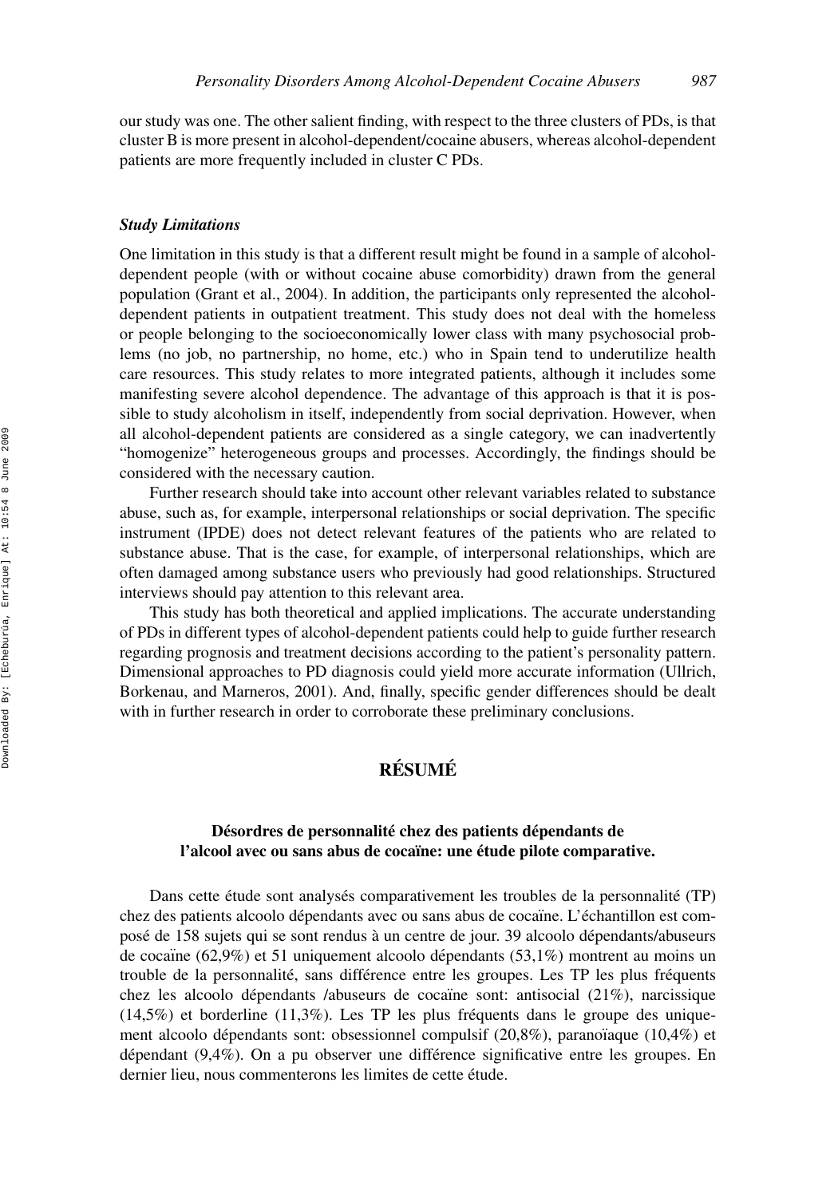our study was one. The other salient finding, with respect to the three clusters of PDs, is that cluster B is more present in alcohol-dependent/cocaine abusers, whereas alcohol-dependent patients are more frequently included in cluster C PDs.

#### *Study Limitations*

One limitation in this study is that a different result might be found in a sample of alcoholdependent people (with or without cocaine abuse comorbidity) drawn from the general population (Grant et al., 2004). In addition, the participants only represented the alcoholdependent patients in outpatient treatment. This study does not deal with the homeless or people belonging to the socioeconomically lower class with many psychosocial problems (no job, no partnership, no home, etc.) who in Spain tend to underutilize health care resources. This study relates to more integrated patients, although it includes some manifesting severe alcohol dependence. The advantage of this approach is that it is possible to study alcoholism in itself, independently from social deprivation. However, when all alcohol-dependent patients are considered as a single category, we can inadvertently "homogenize" heterogeneous groups and processes. Accordingly, the findings should be considered with the necessary caution.

Further research should take into account other relevant variables related to substance abuse, such as, for example, interpersonal relationships or social deprivation. The specific instrument (IPDE) does not detect relevant features of the patients who are related to substance abuse. That is the case, for example, of interpersonal relationships, which are often damaged among substance users who previously had good relationships. Structured interviews should pay attention to this relevant area.

This study has both theoretical and applied implications. The accurate understanding of PDs in different types of alcohol-dependent patients could help to guide further research regarding prognosis and treatment decisions according to the patient's personality pattern. Dimensional approaches to PD diagnosis could yield more accurate information (Ullrich, Borkenau, and Marneros, 2001). And, finally, specific gender differences should be dealt with in further research in order to corroborate these preliminary conclusions.

# **RESUM ´ E´**

## **Désordres de personnalité chez des patients dépendants de l'alcool avec ou sans abus de coca¨ıne: une etude pilote comparative. ´**

Dans cette étude sont analysés comparativement les troubles de la personnalité (TP) chez des patients alcoolo dépendants avec ou sans abus de coca ne. L'échantillon est composé de 158 sujets qui se sont rendus à un centre de jour. 39 alcoolo dépendants/abuseurs de cocaïne (62,9%) et 51 uniquement alcoolo dépendants (53,1%) montrent au moins un trouble de la personnalité, sans différence entre les groupes. Les TP les plus fréquents chez les alcoolo dépendants /abuseurs de coca ne sont: antisocial  $(21\%)$ , narcissique  $(14,5\%)$  et borderline  $(11,3\%)$ . Les TP les plus fréquents dans le groupe des uniquement alcoolo dépendants sont: obsessionnel compulsif  $(20.8\%)$ , paranoï aque  $(10.4\%)$  et dépendant  $(9,4\%)$ . On a pu observer une différence significative entre les groupes. En dernier lieu, nous commenterons les limites de cette étude.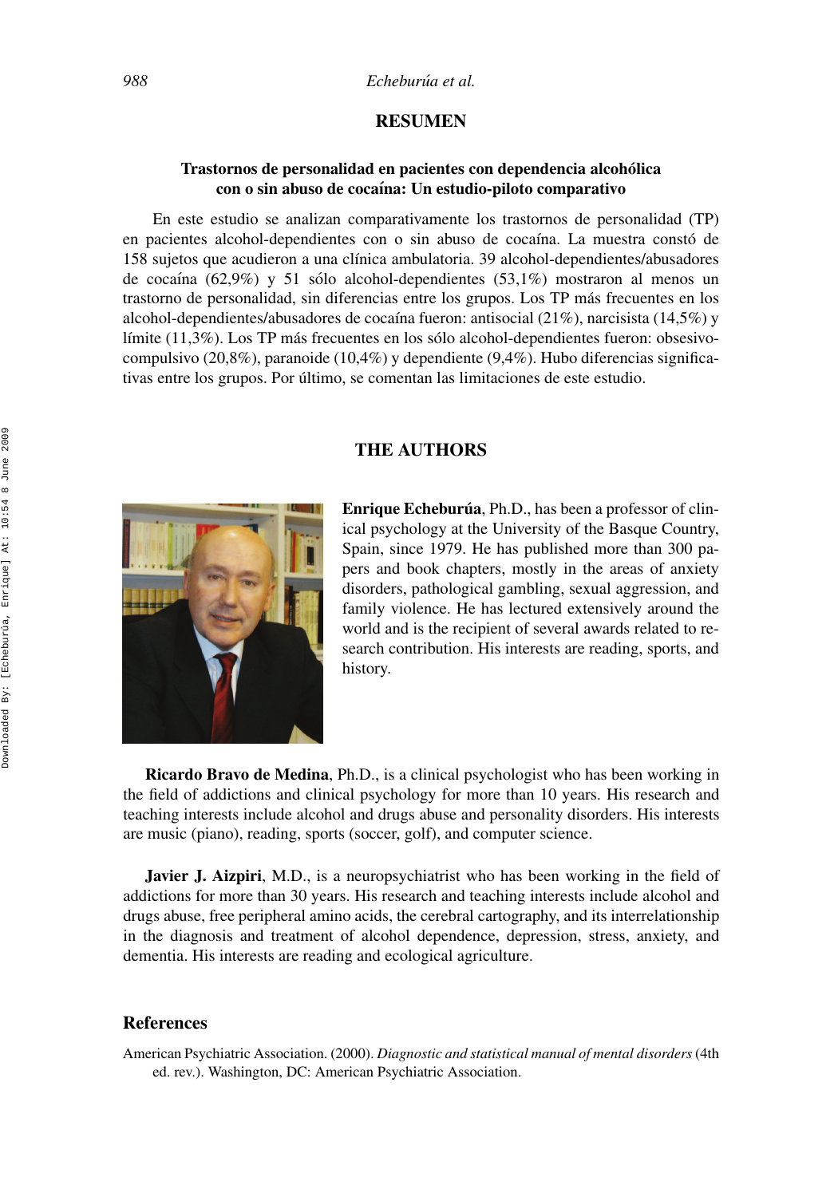### **RESUMEN**

## **Trastornos de personalidad en pacientes con dependencia alcoholica ´ con o sin abuso de coca´ına: Un estudio-piloto comparativo**

En este estudio se analizan comparativamente los trastornos de personalidad (TP) en pacientes alcohol-dependientes con o sin abuso de cocaína. La muestra constó de 158 sujetos que acudieron a una cl´ınica ambulatoria. 39 alcohol-dependientes/abusadores de cocaína (62,9%) y 51 sólo alcohol-dependientes (53,1%) mostraron al menos un trastorno de personalidad, sin diferencias entre los grupos. Los TP más frecuentes en los alcohol-dependientes/abusadores de cocaína fueron: antisocial  $(21\%)$ , narcisista  $(14,5\%)$  y límite  $(11,3\%)$ . Los TP más frecuentes en los sólo alcohol-dependientes fueron: obsesivocompulsivo (20,8%), paranoide (10,4%) y dependiente (9,4%). Hubo diferencias significativas entre los grupos. Por último, se comentan las limitaciones de este estudio.

### **THE AUTHORS**



**Enrique Echeburúa**, Ph.D., has been a professor of clinical psychology at the University of the Basque Country, Spain, since 1979. He has published more than 300 papers and book chapters, mostly in the areas of anxiety disorders, pathological gambling, sexual aggression, and family violence. He has lectured extensively around the world and is the recipient of several awards related to research contribution. His interests are reading, sports, and history.

**Ricardo Bravo de Medina**, Ph.D., is a clinical psychologist who has been working in the field of addictions and clinical psychology for more than 10 years. His research and teaching interests include alcohol and drugs abuse and personality disorders. His interests are music (piano), reading, sports (soccer, golf), and computer science.

**Javier J. Aizpiri**, M.D., is a neuropsychiatrist who has been working in the field of addictions for more than 30 years. His research and teaching interests include alcohol and drugs abuse, free peripheral amino acids, the cerebral cartography, and its interrelationship in the diagnosis and treatment of alcohol dependence, depression, stress, anxiety, and dementia. His interests are reading and ecological agriculture.

### **References**

American Psychiatric Association. (2000). *Diagnostic and statistical manual of mental disorders*(4th ed. rev.). Washington, DC: American Psychiatric Association.